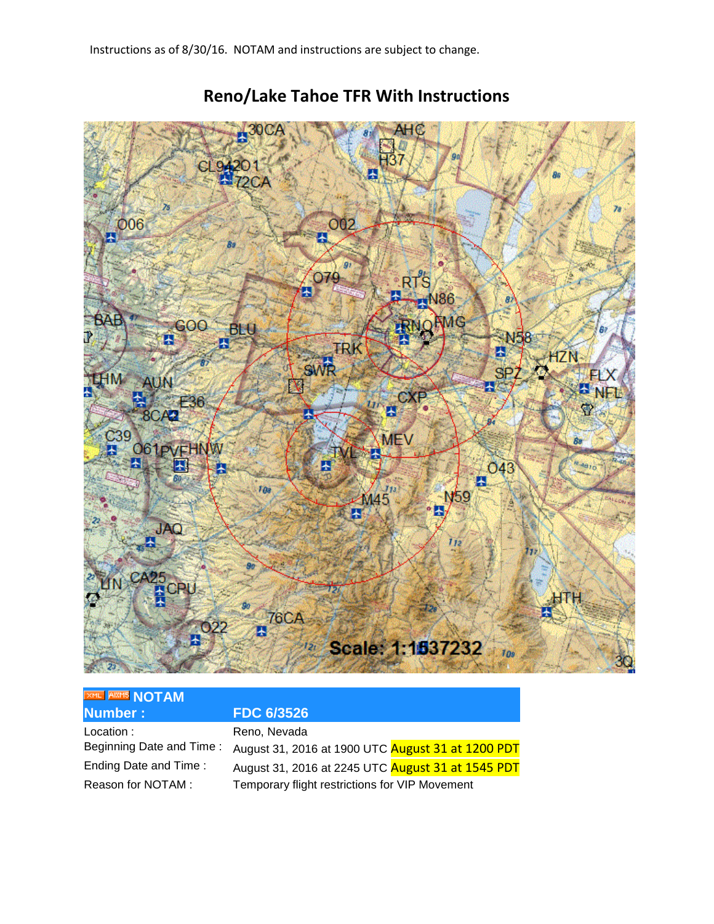

## **Reno/Lake Tahoe TFR With Instructions**

## **XML AXMS [N](http://tfr.faa.gov/save_pages/detail_6_3526.xml)OTAM Number : FDC 6/3526**

Location : Reno, Nevada

Beginning Date and Time : August 31, 2016 at 1900 UTC August 31 at 1200 PDT Ending Date and Time : August 31, 2016 at 2245 UTC August 31 at 1545 PDT Reason for NOTAM : Temporary flight restrictions for VIP Movement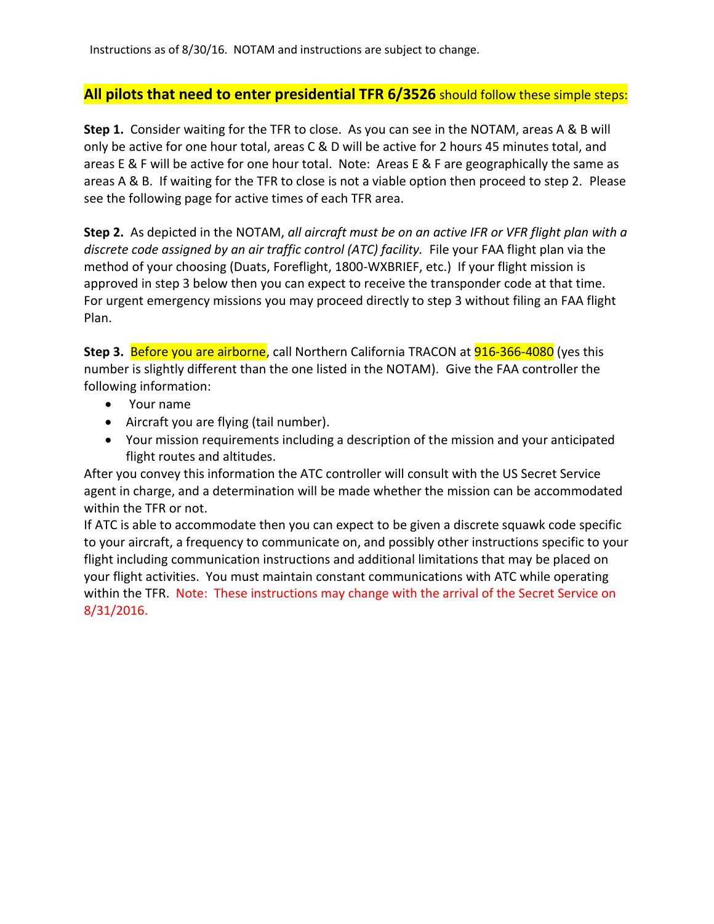Instructions as of 8/30/16. NOTAM and instructions are subject to change.

## **All pilots that need to enter presidential TFR 6/3526** should follow these simple steps:

**Step 1.** Consider waiting for the TFR to close. As you can see in the NOTAM, areas A & B will only be active for one hour total, areas C & D will be active for 2 hours 45 minutes total, and areas E & F will be active for one hour total. Note: Areas E & F are geographically the same as areas A & B. If waiting for the TFR to close is not a viable option then proceed to step 2. Please see the following page for active times of each TFR area.

**Step 2.** As depicted in the NOTAM, *all aircraft must be on an active IFR or VFR flight plan with a discrete code assigned by an air traffic control (ATC) facility.* File your FAA flight plan via the method of your choosing (Duats, Foreflight, 1800-WXBRIEF, etc.) If your flight mission is approved in step 3 below then you can expect to receive the transponder code at that time. For urgent emergency missions you may proceed directly to step 3 without filing an FAA flight Plan.

**Step 3. Before you are airborne**, call Northern California TRACON at **916-366-4080** (yes this number is slightly different than the one listed in the NOTAM). Give the FAA controller the following information:

- Your name
- Aircraft you are flying (tail number).
- Your mission requirements including a description of the mission and your anticipated flight routes and altitudes.

After you convey this information the ATC controller will consult with the US Secret Service agent in charge, and a determination will be made whether the mission can be accommodated within the TFR or not.

If ATC is able to accommodate then you can expect to be given a discrete squawk code specific to your aircraft, a frequency to communicate on, and possibly other instructions specific to your flight including communication instructions and additional limitations that may be placed on your flight activities. You must maintain constant communications with ATC while operating within the TFR. Note: These instructions may change with the arrival of the Secret Service on 8/31/2016.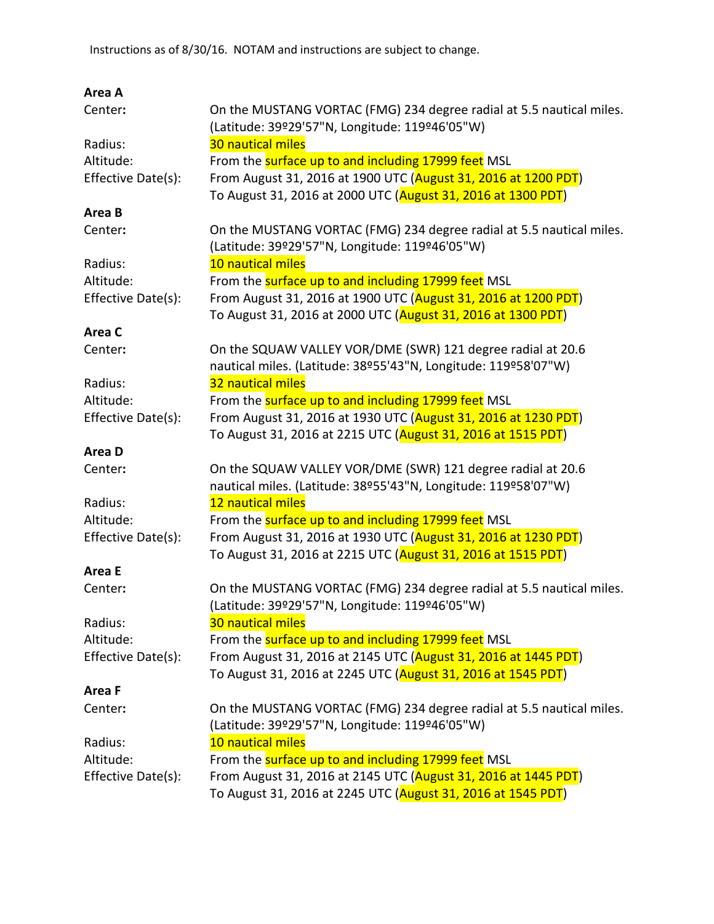| Area A             |                                                                      |
|--------------------|----------------------------------------------------------------------|
| Center:            | On the MUSTANG VORTAC (FMG) 234 degree radial at 5.5 nautical miles. |
|                    | (Latitude: 39º29'57"N, Longitude: 119º46'05"W)                       |
| Radius:            | 30 nautical miles                                                    |
| Altitude:          | From the surface up to and including 17999 feet MSL                  |
| Effective Date(s): | From August 31, 2016 at 1900 UTC (August 31, 2016 at 1200 PDT)       |
|                    | To August 31, 2016 at 2000 UTC (August 31, 2016 at 1300 PDT)         |
| Area B             |                                                                      |
| Center:            | On the MUSTANG VORTAC (FMG) 234 degree radial at 5.5 nautical miles. |
|                    | (Latitude: 39º29'57"N, Longitude: 119º46'05"W)                       |
| Radius:            | 10 nautical miles                                                    |
| Altitude:          | From the surface up to and including 17999 feet MSL                  |
| Effective Date(s): | From August 31, 2016 at 1900 UTC (August 31, 2016 at 1200 PDT)       |
|                    | To August 31, 2016 at 2000 UTC (August 31, 2016 at 1300 PDT)         |
| Area C             |                                                                      |
| Center:            | On the SQUAW VALLEY VOR/DME (SWR) 121 degree radial at 20.6          |
|                    | nautical miles. (Latitude: 38º55'43"N, Longitude: 119º58'07"W)       |
| Radius:            | 32 nautical miles                                                    |
| Altitude:          | From the surface up to and including 17999 feet MSL                  |
| Effective Date(s): | From August 31, 2016 at 1930 UTC (August 31, 2016 at 1230 PDT)       |
|                    | To August 31, 2016 at 2215 UTC (August 31, 2016 at 1515 PDT)         |
| Area D             |                                                                      |
| Center:            | On the SQUAW VALLEY VOR/DME (SWR) 121 degree radial at 20.6          |
|                    | nautical miles. (Latitude: 38º55'43"N, Longitude: 119º58'07"W)       |
| Radius:            | 12 nautical miles                                                    |
| Altitude:          | From the surface up to and including 17999 feet MSL                  |
| Effective Date(s): | From August 31, 2016 at 1930 UTC (August 31, 2016 at 1230 PDT)       |
|                    | To August 31, 2016 at 2215 UTC (August 31, 2016 at 1515 PDT)         |
| Area E             |                                                                      |
| Center:            | On the MUSTANG VORTAC (FMG) 234 degree radial at 5.5 nautical miles. |
|                    | (Latitude: 39º29'57"N, Longitude: 119º46'05"W)                       |
| Radius:            | 30 nautical miles                                                    |
| Altitude:          | From the surface up to and including 17999 feet MSL                  |
| Effective Date(s): | From August 31, 2016 at 2145 UTC (August 31, 2016 at 1445 PDT)       |
|                    | To August 31, 2016 at 2245 UTC (August 31, 2016 at 1545 PDT)         |
| Area F             |                                                                      |
| Center:            | On the MUSTANG VORTAC (FMG) 234 degree radial at 5.5 nautical miles. |
|                    | (Latitude: 39º29'57"N, Longitude: 119º46'05"W)                       |
| Radius:            | 10 nautical miles                                                    |
| Altitude:          | From the <b>surface up to and including 17999 feet</b> MSL           |
| Effective Date(s): | From August 31, 2016 at 2145 UTC (August 31, 2016 at 1445 PDT)       |
|                    | To August 31, 2016 at 2245 UTC (August 31, 2016 at 1545 PDT)         |